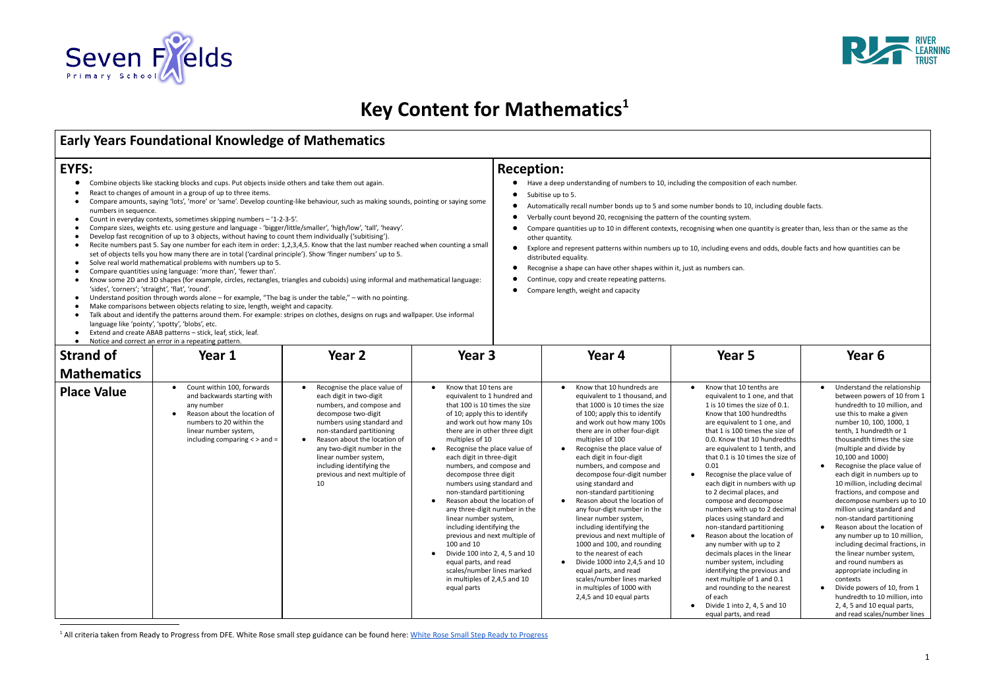

# **Key Content for Mathematics 1**

- 
- 
- numbers in sequence.
- 
- 
- Develop fast recognition of up to 3 objects, without having to count them individually ('subitising').
- set of objects tells you how many there are in total ('cardinal principle'). Show 'finger numbers' up to 5.
- 
- 
- 
- 
- Make comparisons between objects relating to size, length, weight and capacity.
- 
- 
- 

- 
- 
- 
- 
- 
- 
- 
- 
- 

|                                                                                                                                                                                                                                                                                                                                                                                                                                                                                                                                                                                                                                                                                                                                                                                                                                                                                                                                                                                                                                                                                                                                                                                                                                                                                                                                                                                                                                                                                                                                                                                                                                                                                                                                      | <b>Early Years Foundational Knowledge of Mathematics</b>                                                                                                                                          |                                                                                                                                                                                                                                                                                                                                   |                                                                                                                                                                                                                                                                                                                                                                                                                                                                                                                                                                                                                                                                                                                                            |                                                                                                                                                                                                                                                                                                                                                                                                                                                                                                                                                                                                                                                                                                                                                                                                          |                                                                                                                                                                                                                                                                                                                                                                                                                                                                                                                                                                                                                                                                                                                                                                                                                                                                      |                                                                                                                                                                                                                                                                                                                                                                                                                                                                                                                                                                                                                                                                                                                                                                                                                |  |
|--------------------------------------------------------------------------------------------------------------------------------------------------------------------------------------------------------------------------------------------------------------------------------------------------------------------------------------------------------------------------------------------------------------------------------------------------------------------------------------------------------------------------------------------------------------------------------------------------------------------------------------------------------------------------------------------------------------------------------------------------------------------------------------------------------------------------------------------------------------------------------------------------------------------------------------------------------------------------------------------------------------------------------------------------------------------------------------------------------------------------------------------------------------------------------------------------------------------------------------------------------------------------------------------------------------------------------------------------------------------------------------------------------------------------------------------------------------------------------------------------------------------------------------------------------------------------------------------------------------------------------------------------------------------------------------------------------------------------------------|---------------------------------------------------------------------------------------------------------------------------------------------------------------------------------------------------|-----------------------------------------------------------------------------------------------------------------------------------------------------------------------------------------------------------------------------------------------------------------------------------------------------------------------------------|--------------------------------------------------------------------------------------------------------------------------------------------------------------------------------------------------------------------------------------------------------------------------------------------------------------------------------------------------------------------------------------------------------------------------------------------------------------------------------------------------------------------------------------------------------------------------------------------------------------------------------------------------------------------------------------------------------------------------------------------|----------------------------------------------------------------------------------------------------------------------------------------------------------------------------------------------------------------------------------------------------------------------------------------------------------------------------------------------------------------------------------------------------------------------------------------------------------------------------------------------------------------------------------------------------------------------------------------------------------------------------------------------------------------------------------------------------------------------------------------------------------------------------------------------------------|----------------------------------------------------------------------------------------------------------------------------------------------------------------------------------------------------------------------------------------------------------------------------------------------------------------------------------------------------------------------------------------------------------------------------------------------------------------------------------------------------------------------------------------------------------------------------------------------------------------------------------------------------------------------------------------------------------------------------------------------------------------------------------------------------------------------------------------------------------------------|----------------------------------------------------------------------------------------------------------------------------------------------------------------------------------------------------------------------------------------------------------------------------------------------------------------------------------------------------------------------------------------------------------------------------------------------------------------------------------------------------------------------------------------------------------------------------------------------------------------------------------------------------------------------------------------------------------------------------------------------------------------------------------------------------------------|--|
| <b>EYFS:</b><br>Combine objects like stacking blocks and cups. Put objects inside others and take them out again.<br>React to changes of amount in a group of up to three items.<br>Compare amounts, saying 'lots', 'more' or 'same'. Develop counting-like behaviour, such as making sounds, pointing or saying some<br>numbers in sequence.<br>Count in everyday contexts, sometimes skipping numbers - '1-2-3-5'.<br>Compare sizes, weights etc. using gesture and language - 'bigger/little/smaller', 'high/low', 'tall', 'heavy'.<br>Develop fast recognition of up to 3 objects, without having to count them individually ('subitising').<br>Recite numbers past 5. Say one number for each item in order: 1,2,3,4,5. Know that the last number reached when counting a small<br>set of objects tells you how many there are in total ('cardinal principle'). Show 'finger numbers' up to 5.<br>Solve real world mathematical problems with numbers up to 5.<br>Compare quantities using language: 'more than', 'fewer than'.<br>Know some 2D and 3D shapes (for example, circles, rectangles, triangles and cuboids) using informal and mathematical language:<br>'sides', 'corners'; 'straight', 'flat', 'round'.<br>Understand position through words alone - for example, "The bag is under the table," - with no pointing.<br>Make comparisons between objects relating to size, length, weight and capacity.<br>Talk about and identify the patterns around them. For example: stripes on clothes, designs on rugs and wallpaper. Use informal<br>language like 'pointy', 'spotty', 'blobs', etc.<br>Extend and create ABAB patterns - stick, leaf, stick, leaf.<br>Notice and correct an error in a repeating pattern. |                                                                                                                                                                                                   |                                                                                                                                                                                                                                                                                                                                   |                                                                                                                                                                                                                                                                                                                                                                                                                                                                                                                                                                                                                                                                                                                                            | <b>Reception:</b><br>Have a deep understanding of numbers to 10, including the composition of each number.<br>Subitise up to 5.<br>Automatically recall number bonds up to 5 and some number bonds to 10, including double facts.<br>Verbally count beyond 20, recognising the pattern of the counting system.<br>$\bullet$<br>Compare quantities up to 10 in different contexts, recognising when one quantity is greater than, less than or the same as the<br>other quantity.<br>Explore and represent patterns within numbers up to 10, including evens and odds, double facts and how quantities can be<br>distributed equality.<br>Recognise a shape can have other shapes within it, just as numbers can.<br>Continue, copy and create repeating patterns.<br>Compare length, weight and capacity |                                                                                                                                                                                                                                                                                                                                                                                                                                                                                                                                                                                                                                                                                                                                                                                                                                                                      |                                                                                                                                                                                                                                                                                                                                                                                                                                                                                                                                                                                                                                                                                                                                                                                                                |  |
| <b>Strand of</b>                                                                                                                                                                                                                                                                                                                                                                                                                                                                                                                                                                                                                                                                                                                                                                                                                                                                                                                                                                                                                                                                                                                                                                                                                                                                                                                                                                                                                                                                                                                                                                                                                                                                                                                     | Year 1                                                                                                                                                                                            | Year <sub>2</sub>                                                                                                                                                                                                                                                                                                                 | Year 3                                                                                                                                                                                                                                                                                                                                                                                                                                                                                                                                                                                                                                                                                                                                     | Year 4                                                                                                                                                                                                                                                                                                                                                                                                                                                                                                                                                                                                                                                                                                                                                                                                   | Year 5                                                                                                                                                                                                                                                                                                                                                                                                                                                                                                                                                                                                                                                                                                                                                                                                                                                               | Year <sub>6</sub>                                                                                                                                                                                                                                                                                                                                                                                                                                                                                                                                                                                                                                                                                                                                                                                              |  |
| <b>Mathematics</b><br><b>Place Value</b>                                                                                                                                                                                                                                                                                                                                                                                                                                                                                                                                                                                                                                                                                                                                                                                                                                                                                                                                                                                                                                                                                                                                                                                                                                                                                                                                                                                                                                                                                                                                                                                                                                                                                             | Count within 100, forwards<br>and backwards starting with<br>any number<br>Reason about the location of<br>numbers to 20 within the<br>linear number system,<br>including comparing $\lt$ > and = | Recognise the place value of<br>each digit in two-digit<br>numbers, and compose and<br>decompose two-digit<br>numbers using standard and<br>non-standard partitioning<br>Reason about the location of<br>any two-digit number in the<br>linear number system,<br>including identifying the<br>previous and next multiple of<br>10 | Know that 10 tens are<br>$\bullet$<br>equivalent to 1 hundred and<br>that 100 is 10 times the size<br>of 10; apply this to identify<br>and work out how many 10s<br>there are in other three digit<br>multiples of 10<br>Recognise the place value of<br>$\bullet$<br>each digit in three-digit<br>numbers, and compose and<br>decompose three digit<br>numbers using standard and<br>non-standard partitioning<br>Reason about the location of<br>any three-digit number in the<br>linear number system,<br>including identifying the<br>previous and next multiple of<br>100 and 10<br>Divide 100 into 2, 4, 5 and 10<br>$\bullet$<br>equal parts, and read<br>scales/number lines marked<br>in multiples of 2,4,5 and 10<br>equal parts | Know that 10 hundreds are<br>equivalent to 1 thousand, and<br>that 1000 is 10 times the size<br>of 100; apply this to identify<br>and work out how many 100s<br>there are in other four-digit<br>multiples of 100<br>Recognise the place value of<br>$\bullet$<br>each digit in four-digit<br>numbers, and compose and<br>decompose four-digit number<br>using standard and<br>non-standard partitioning<br>Reason about the location of<br>$\bullet$<br>any four-digit number in the<br>linear number system,<br>including identifying the<br>previous and next multiple of<br>1000 and 100, and rounding<br>to the nearest of each<br>Divide 1000 into 2,4,5 and 10<br>equal parts, and read<br>scales/number lines marked<br>in multiples of 1000 with<br>2,4,5 and 10 equal parts                    | Know that 10 tenths are<br>$\bullet$<br>equivalent to 1 one, and that<br>1 is 10 times the size of 0.1.<br>Know that 100 hundredths<br>are equivalent to 1 one, and<br>that 1 is 100 times the size of<br>0.0. Know that 10 hundredths<br>are equivalent to 1 tenth, and<br>that 0.1 is 10 times the size of<br>0.01<br>Recognise the place value of<br>$\bullet$<br>each digit in numbers with up<br>to 2 decimal places, and<br>compose and decompose<br>numbers with up to 2 decimal<br>places using standard and<br>non-standard partitioning<br>Reason about the location of<br>$\bullet$<br>any number with up to 2<br>decimals places in the linear<br>number system, including<br>identifying the previous and<br>next multiple of 1 and 0.1<br>and rounding to the nearest<br>of each<br>Divide 1 into 2, 4, 5 and 10<br>$\bullet$<br>equal parts, and read | Understand the relationship<br>between powers of 10 from 1<br>hundredth to 10 million, and<br>use this to make a given<br>number 10, 100, 1000, 1<br>tenth, 1 hundredth or 1<br>thousandth times the size<br>(multiple and divide by<br>10,100 and 1000)<br>Recognise the place value of<br>each digit in numbers up to<br>10 million, including decimal<br>fractions, and compose and<br>decompose numbers up to 10<br>million using standard and<br>non-standard partitioning<br>Reason about the location of<br>any number up to 10 million,<br>including decimal fractions, in<br>the linear number system,<br>and round numbers as<br>appropriate including in<br>contexts<br>Divide powers of 10, from 1<br>hundredth to 10 million, into<br>2, 4, 5 and 10 equal parts,<br>and read scales/number lines |  |

<sup>1</sup> All criteria taken from Ready to [Progress](https://drive.google.com/open?id=1njhK3Gs3O3D_z43hsUNjEQHMEsEhoV5R) from DFE. White Rose small step guidance can be found here: White Rose Small Step Ready to Progress

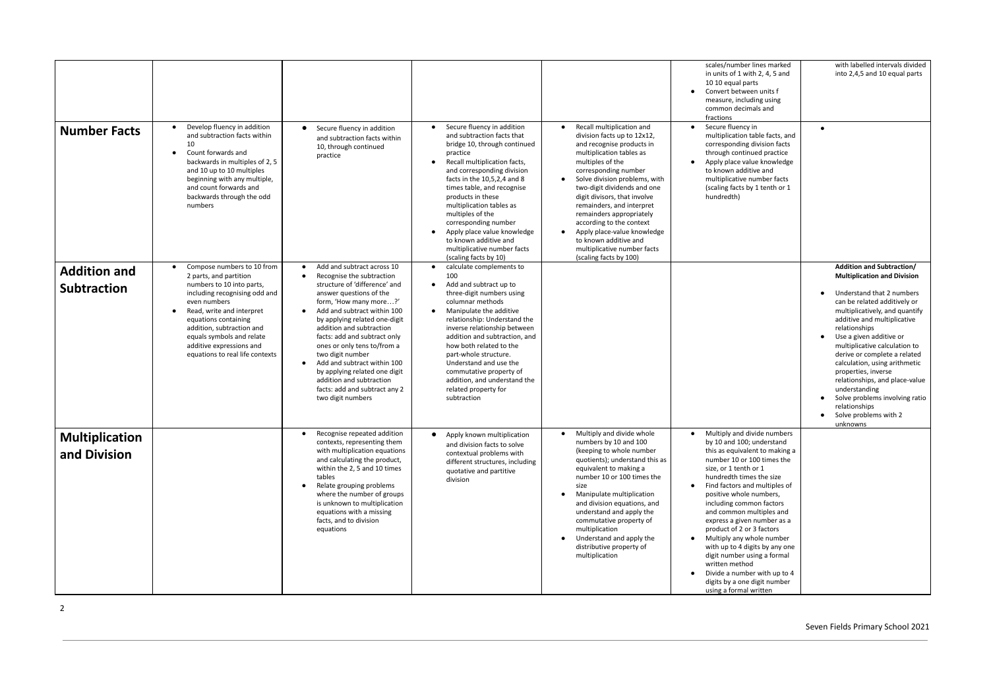|                                           |                                                                                                                                                                                                                                                                                                                               |                                                                                                                                                                                                                                                                                                                                                                                                                                                                                                                       |                                                                                                                                                                                                                                                                                                                                                                                                                                                                        |                                                                                                                                                                                                                                                                                                                                                                                                                                                                     | scales/number lines marked<br>in units of 1 with 2, 4, 5 and<br>10 10 equal parts<br>Convert between units f<br>$\bullet$<br>measure, including using<br>common decimals and<br>fractions                                                                                                                                                                                                                                                                                                                                                                                                                        | with labelled intervals divided<br>into 2,4,5 and 10 equal parts                                                                                                                                                                                                                                                                                                                                                                                                                                                     |
|-------------------------------------------|-------------------------------------------------------------------------------------------------------------------------------------------------------------------------------------------------------------------------------------------------------------------------------------------------------------------------------|-----------------------------------------------------------------------------------------------------------------------------------------------------------------------------------------------------------------------------------------------------------------------------------------------------------------------------------------------------------------------------------------------------------------------------------------------------------------------------------------------------------------------|------------------------------------------------------------------------------------------------------------------------------------------------------------------------------------------------------------------------------------------------------------------------------------------------------------------------------------------------------------------------------------------------------------------------------------------------------------------------|---------------------------------------------------------------------------------------------------------------------------------------------------------------------------------------------------------------------------------------------------------------------------------------------------------------------------------------------------------------------------------------------------------------------------------------------------------------------|------------------------------------------------------------------------------------------------------------------------------------------------------------------------------------------------------------------------------------------------------------------------------------------------------------------------------------------------------------------------------------------------------------------------------------------------------------------------------------------------------------------------------------------------------------------------------------------------------------------|----------------------------------------------------------------------------------------------------------------------------------------------------------------------------------------------------------------------------------------------------------------------------------------------------------------------------------------------------------------------------------------------------------------------------------------------------------------------------------------------------------------------|
| <b>Number Facts</b>                       | Develop fluency in addition<br>and subtraction facts within<br>10<br>Count forwards and<br>backwards in multiples of 2, 5<br>and 10 up to 10 multiples<br>beginning with any multiple,<br>and count forwards and<br>backwards through the odd<br>numbers                                                                      | Secure fluency in addition<br>and subtraction facts within<br>10, through continued<br>practice                                                                                                                                                                                                                                                                                                                                                                                                                       | Secure fluency in addition<br>and subtraction facts that<br>bridge 10, through continued<br>practice<br>Recall multiplication facts,<br>$\bullet$<br>and corresponding division<br>facts in the 10,5,2,4 and 8<br>times table, and recognise<br>products in these<br>multiplication tables as<br>multiples of the<br>corresponding number<br>Apply place value knowledge<br>$\bullet$<br>to known additive and<br>multiplicative number facts<br>(scaling facts by 10) | Recall multiplication and<br>division facts up to 12x12,<br>and recognise products in<br>multiplication tables as<br>multiples of the<br>corresponding number<br>Solve division problems, with<br>two-digit dividends and one<br>digit divisors, that involve<br>remainders, and interpret<br>remainders appropriately<br>according to the context<br>Apply place-value knowledge<br>to known additive and<br>multiplicative number facts<br>(scaling facts by 100) | Secure fluency in<br>$\bullet$<br>multiplication table facts, and<br>corresponding division facts<br>through continued practice<br>Apply place value knowledge<br>$\bullet$<br>to known additive and<br>multiplicative number facts<br>(scaling facts by 1 tenth or 1<br>hundredth)                                                                                                                                                                                                                                                                                                                              | $\bullet$                                                                                                                                                                                                                                                                                                                                                                                                                                                                                                            |
| <b>Addition and</b><br><b>Subtraction</b> | Compose numbers to 10 from<br>2 parts, and partition<br>numbers to 10 into parts,<br>including recognising odd and<br>even numbers<br>Read, write and interpret<br>$\bullet$<br>equations containing<br>addition, subtraction and<br>equals symbols and relate<br>additive expressions and<br>equations to real life contexts | Add and subtract across 10<br>Recognise the subtraction<br>$\bullet$<br>structure of 'difference' and<br>answer questions of the<br>form, 'How many more?'<br>Add and subtract within 100<br>$\bullet$<br>by applying related one-digit<br>addition and subtraction<br>facts: add and subtract only<br>ones or only tens to/from a<br>two digit number<br>Add and subtract within 100<br>$\bullet$<br>by applying related one digit<br>addition and subtraction<br>facts: add and subtract any 2<br>two digit numbers | calculate complements to<br>100<br>Add and subtract up to<br>$\bullet$<br>three-digit numbers using<br>columnar methods<br>Manipulate the additive<br>$\bullet$<br>relationship: Understand the<br>inverse relationship between<br>addition and subtraction, and<br>how both related to the<br>part-whole structure.<br>Understand and use the<br>commutative property of<br>addition, and understand the<br>related property for<br>subtraction                       |                                                                                                                                                                                                                                                                                                                                                                                                                                                                     |                                                                                                                                                                                                                                                                                                                                                                                                                                                                                                                                                                                                                  | <b>Addition and Subtraction/</b><br><b>Multiplication and Division</b><br>Understand that 2 numbers<br>can be related additively or<br>multiplicatively, and quantify<br>additive and multiplicative<br>relationships<br>Use a given additive or<br>multiplicative calculation to<br>derive or complete a related<br>calculation, using arithmetic<br>properties, inverse<br>relationships, and place-value<br>understanding<br>Solve problems involving ratio<br>relationships<br>Solve problems with 2<br>unknowns |
| Multiplication<br>and Division            |                                                                                                                                                                                                                                                                                                                               | Recognise repeated addition<br>contexts, representing them<br>with multiplication equations<br>and calculating the product,<br>within the 2, 5 and 10 times<br>tables<br>Relate grouping problems<br>where the number of groups<br>is unknown to multiplication<br>equations with a missing<br>facts, and to division<br>equations                                                                                                                                                                                    | Apply known multiplication<br>$\bullet$<br>and division facts to solve<br>contextual problems with<br>different structures, including<br>quotative and partitive<br>division                                                                                                                                                                                                                                                                                           | $\bullet$<br>Multiply and divide whole<br>numbers by 10 and 100<br>(keeping to whole number<br>quotients); understand this as<br>equivalent to making a<br>number 10 or 100 times the<br>size<br>Manipulate multiplication<br>and division equations, and<br>understand and apply the<br>commutative property of<br>multiplication<br>Understand and apply the<br>$\bullet$<br>distributive property of<br>multiplication                                           | • Multiply and divide numbers<br>by 10 and 100; understand<br>this as equivalent to making a<br>number 10 or 100 times the<br>size, or 1 tenth or 1<br>hundredth times the size<br>Find factors and multiples of<br>$\bullet$<br>positive whole numbers,<br>including common factors<br>and common multiples and<br>express a given number as a<br>product of 2 or 3 factors<br>Multiply any whole number<br>$\bullet$<br>with up to 4 digits by any one<br>digit number using a formal<br>written method<br>Divide a number with up to 4<br>$\bullet$<br>digits by a one digit number<br>using a formal written |                                                                                                                                                                                                                                                                                                                                                                                                                                                                                                                      |

## Seven Fields Primary School 2021